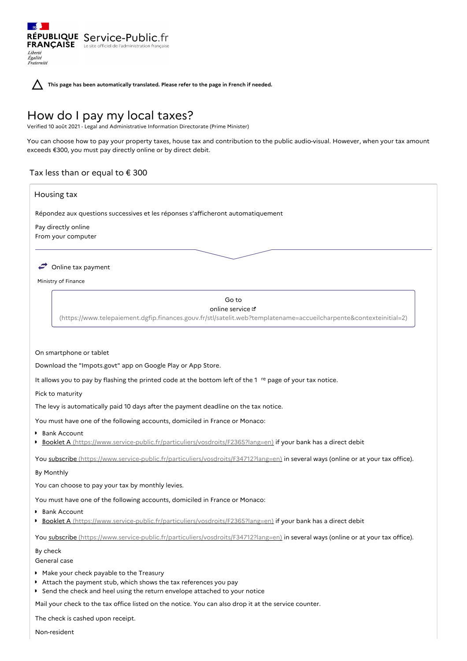RÉPUBLIQUE Service-Public.fr **FRANÇAISE** Le site officiel de l'administration Liberté Égalité<br>Fraternité

**This page has been automatically translated. Please refer to the page in French if needed.**

# How do I pay my local taxes?

Verified 10 août 2021 - Legal and Administrative Information Directorate (Prime Minister)

You can choose how to pay your property taxes, house tax and contribution to the public audio-visual. However, when your tax amount exceeds €300, you must pay directly online or by direct debit.

# Tax less than or equal to  $\epsilon$  300

# Housing tax

Répondez aux questions successives et les réponses s'afficheront automatiquement

Pay directly online From your computer



Ministry of Finance

# Go to

# online service &

[\(https://www.telepaiement.dgfip.finances.gouv.fr/stl/satelit.web?templatename=accueilcharpente&contexteinitial=2\)](https://www.telepaiement.dgfip.finances.gouv.fr/stl/satelit.web?templatename=accueilcharpente&contexteinitial=2)

#### On smartphone or tablet

Download the "Impots.govt" app on Google Play or App Store.

It allows you to pay by flashing the printed code at the bottom left of the  $1$ <sup>re</sup> page of your tax notice.

Pick to maturity

The levy is automatically paid 10 days after the payment deadline on the tax notice.

You must have one of the following accounts, domiciled in France or Monaco:

- Bank Account
- **Booklet A** [\(https://www.service-public.fr/particuliers/vosdroits/F2365?lang=en\)](https://www.service-public.fr/particuliers/vosdroits/F2365?lang=en) if your bank has a direct debit

You subscribe [\(https://www.service-public.fr/particuliers/vosdroits/F34712?lang=en\)](https://www.service-public.fr/particuliers/vosdroits/F34712?lang=en) in several ways (online or at your tax office).

#### By Monthly

You can choose to pay your tax by monthly levies.

You must have one of the following accounts, domiciled in France or Monaco:

- **Bank Account**
- **Booklet A** [\(https://www.service-public.fr/particuliers/vosdroits/F2365?lang=en\)](https://www.service-public.fr/particuliers/vosdroits/F2365?lang=en) if your bank has a direct debit

You subscribe [\(https://www.service-public.fr/particuliers/vosdroits/F34712?lang=en\)](https://www.service-public.fr/particuliers/vosdroits/F34712?lang=en) in several ways (online or at your tax office).

#### By check

General case

- Make your check payable to the Treasury
- Attach the payment stub, which shows the tax references you pay
- Send the check and heel using the return envelope attached to your notice

Mail your check to the tax office listed on the notice. You can also drop it at the service counter.

The check is cashed upon receipt.

Non-resident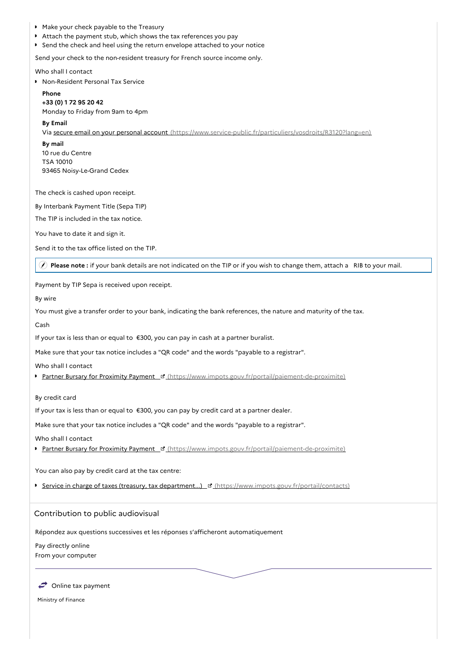- Make your check payable to the Treasury
- Attach the payment stub, which shows the tax references you pay
- Send the check and heel using the return envelope attached to your notice

Send your check to the non-resident treasury for French source income only.

Who shall I contact

**Non-Resident Personal Tax Service** 

**Phone +33 (0) 1 72 95 20 42** Monday to Friday from 9am to 4pm

#### **By Email**

Via secure email on your personal account [\(https://www.service-public.fr/particuliers/vosdroits/R3120?lang=en\)](https://www.service-public.fr/particuliers/vosdroits/R3120?lang=en)

**By mail** 10 rue du Centre TSA 10010 93465 Noisy-Le-Grand Cedex

The check is cashed upon receipt.

By Interbank Payment Title (Sepa TIP)

The TIP is included in the tax notice.

You have to date it and sign it.

Send it to the tax office listed on the TIP.

**Please note :** if your bank details are not indicated on the TIP or if you wish to change them, attach a RIB to your mail.

Payment by TIP Sepa is received upon receipt.

By wire

You must give a transfer order to your bank, indicating the bank references, the nature and maturity of the tax.

Cash

If your tax is less than or equal to €300, you can pay in cash at a partner buralist.

Make sure that your tax notice includes a "QR code" and the words "payable to a registrar".

Who shall I contact

**Partner Bursary for Proximity Payment d'** [\(https://www.impots.gouv.fr/portail/paiement-de-proximite\)](https://www.impots.gouv.fr/portail/paiement-de-proximite)

By credit card

If your tax is less than or equal to €300, you can pay by credit card at a partner dealer.

Make sure that your tax notice includes a "QR code" and the words "payable to a registrar".

Who shall I contact

Partner Bursary for Proximity Payment F [\(https://www.impots.gouv.fr/portail/paiement-de-proximite\)](https://www.impots.gouv.fr/portail/paiement-de-proximite)

You can also pay by credit card at the tax centre:

Service in charge of taxes (treasury, tax department...) [3] [\(https://www.impots.gouv.fr/portail/contacts\)](https://www.impots.gouv.fr/portail/contacts)

# Contribution to public audiovisual

Répondez aux questions successives et les réponses s'afficheront automatiquement

Pay directly online

From your computer



Ministry of Finance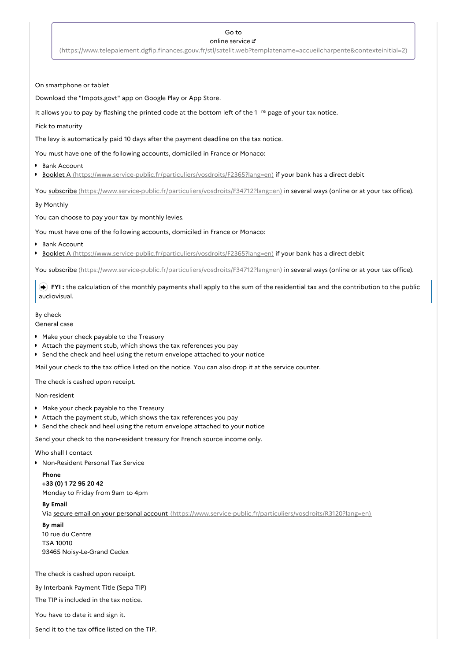# Go to

#### online service

[\(https://www.telepaiement.dgfip.finances.gouv.fr/stl/satelit.web?templatename=accueilcharpente&contexteinitial=2\)](https://www.telepaiement.dgfip.finances.gouv.fr/stl/satelit.web?templatename=accueilcharpente&contexteinitial=2)

#### On smartphone or tablet

Download the "Impots.govt" app on Google Play or App Store.

It allows you to pay by flashing the printed code at the bottom left of the  $1$ <sup>re</sup> page of your tax notice.

### Pick to maturity

The levy is automatically paid 10 days after the payment deadline on the tax notice.

You must have one of the following accounts, domiciled in France or Monaco:

- **Bank Account**
- Booklet A [\(https://www.service-public.fr/particuliers/vosdroits/F2365?lang=en\)](https://www.service-public.fr/particuliers/vosdroits/F2365?lang=en) if your bank has a direct debit

You subscribe [\(https://www.service-public.fr/particuliers/vosdroits/F34712?lang=en\)](https://www.service-public.fr/particuliers/vosdroits/F34712?lang=en) in several ways (online or at your tax office).

By Monthly

You can choose to pay your tax by monthly levies.

You must have one of the following accounts, domiciled in France or Monaco:

■ Bank Account

**Booklet A** [\(https://www.service-public.fr/particuliers/vosdroits/F2365?lang=en\)](https://www.service-public.fr/particuliers/vosdroits/F2365?lang=en) if your bank has a direct debit

You subscribe [\(https://www.service-public.fr/particuliers/vosdroits/F34712?lang=en\)](https://www.service-public.fr/particuliers/vosdroits/F34712?lang=en) in several ways (online or at your tax office).

 **FYI :** the calculation of the monthly payments shall apply to the sum of the residential tax and the contribution to the public audiovisual.

### By check

General case

- Make your check payable to the Treasury
- Attach the payment stub, which shows the tax references you pay
- Send the check and heel using the return envelope attached to your notice

Mail your check to the tax office listed on the notice. You can also drop it at the service counter.

The check is cashed upon receipt.

Non-resident

- Make your check payable to the Treasury
- Attach the payment stub, which shows the tax references you pay
- Send the check and heel using the return envelope attached to your notice

Send your check to the non-resident treasury for French source income only.

# Who shall I contact

Non-Resident Personal Tax Service

#### **Phone**

**+33 (0) 1 72 95 20 42** Monday to Friday from 9am to 4pm

### **By Email**

Via secure email on your personal account [\(https://www.service-public.fr/particuliers/vosdroits/R3120?lang=en\)](https://www.service-public.fr/particuliers/vosdroits/R3120?lang=en)

**By mail**

10 rue du Centre TSA 10010 93465 Noisy-Le-Grand Cedex

The check is cashed upon receipt.

By Interbank Payment Title (Sepa TIP)

The TIP is included in the tax notice.

You have to date it and sign it.

Send it to the tax office listed on the TIP.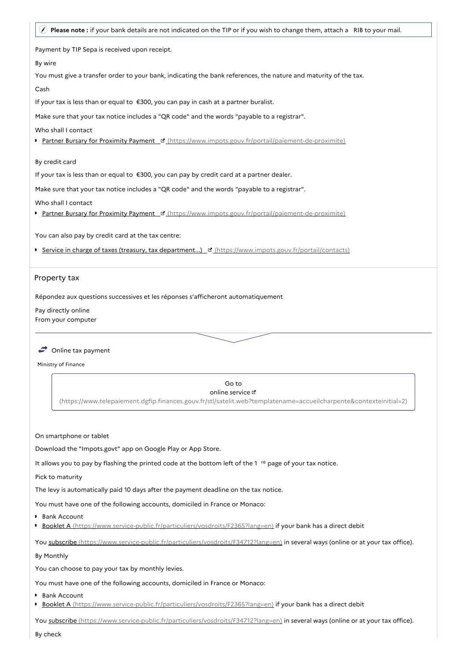| Please note: if your bank details are not indicated on the TIP or if you wish to change them, attach a RIB to your mail. |
|--------------------------------------------------------------------------------------------------------------------------|
| Payment by TIP Sepa is received upon receipt.                                                                            |
| By wire                                                                                                                  |
| You must give a transfer order to your bank, indicating the bank references, the nature and maturity of the tax.         |
| Cash                                                                                                                     |
| If your tax is less than or equal to €300, you can pay in cash at a partner buralist.                                    |
| Make sure that your tax notice includes a "QR code" and the words "payable to a registrar".                              |
| Who shall I contact                                                                                                      |
| Partner Bursary for Proximity Payment F (https://www.impots.gouv.fr/portail/paiement-de-proximite)                       |
| By credit card                                                                                                           |
| If your tax is less than or equal to €300, you can pay by credit card at a partner dealer.                               |
| Make sure that your tax notice includes a "QR code" and the words "payable to a registrar".                              |
| Who shall I contact                                                                                                      |
| Partner Bursary for Proximity Payment E' (https://www.impots.gouv.fr/portail/paiement-de-proximite)                      |
| You can also pay by credit card at the tax centre:                                                                       |
| Service in charge of taxes (treasury, tax department) [3] (https://www.impots.gouv.fr/portail/contacts)                  |
|                                                                                                                          |
| Property tax                                                                                                             |
|                                                                                                                          |
| Répondez aux questions successives et les réponses s'afficheront automatiquement                                         |
| Pay directly online<br>From your computer                                                                                |
|                                                                                                                          |
|                                                                                                                          |

# $\leftrightarrow$  Online tax payment

Ministry of Finance

Go to

online service

[\(https://www.telepaiement.dgfip.finances.gouv.fr/stl/satelit.web?templatename=accueilcharpente&contexteinitial=2\)](https://www.telepaiement.dgfip.finances.gouv.fr/stl/satelit.web?templatename=accueilcharpente&contexteinitial=2)

On smartphone or tablet

Download the "Impots.govt" app on Google Play or App Store.

It allows you to pay by flashing the printed code at the bottom left of the  $1$ <sup>re</sup> page of your tax notice.

Pick to maturity

The levy is automatically paid 10 days after the payment deadline on the tax notice.

You must have one of the following accounts, domiciled in France or Monaco:

- Bank Account
- Booklet A [\(https://www.service-public.fr/particuliers/vosdroits/F2365?lang=en\)](https://www.service-public.fr/particuliers/vosdroits/F2365?lang=en) if your bank has a direct debit

You subscribe [\(https://www.service-public.fr/particuliers/vosdroits/F34712?lang=en\)](https://www.service-public.fr/particuliers/vosdroits/F34712?lang=en) in several ways (online or at your tax office).

# By Monthly

You can choose to pay your tax by monthly levies.

You must have one of the following accounts, domiciled in France or Monaco:

**Bank Account** 

**Booklet A** [\(https://www.service-public.fr/particuliers/vosdroits/F2365?lang=en\)](https://www.service-public.fr/particuliers/vosdroits/F2365?lang=en) if your bank has a direct debit

You subscribe [\(https://www.service-public.fr/particuliers/vosdroits/F34712?lang=en\)](https://www.service-public.fr/particuliers/vosdroits/F34712?lang=en) in several ways (online or at your tax office).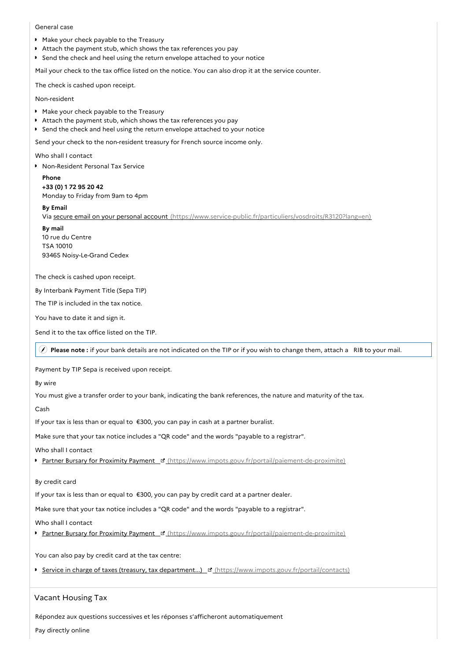### General case

- Make your check payable to the Treasury
- Attach the payment stub, which shows the tax references you pay
- Send the check and heel using the return envelope attached to your notice

Mail your check to the tax office listed on the notice. You can also drop it at the service counter.

The check is cashed upon receipt.

Non-resident

- Make your check payable to the Treasury
- Attach the payment stub, which shows the tax references you pay
- **Send the check and heel using the return envelope attached to your notice**

Send your check to the non-resident treasury for French source income only.

Who shall I contact

**Non-Resident Personal Tax Service** 

**Phone +33 (0) 1 72 95 20 42** Monday to Friday from 9am to 4pm

**By Email**

Via secure email on your personal account [\(https://www.service-public.fr/particuliers/vosdroits/R3120?lang=en\)](https://www.service-public.fr/particuliers/vosdroits/R3120?lang=en)

**By mail** 10 rue du Centre TSA 10010 93465 Noisy-Le-Grand Cedex

The check is cashed upon receipt.

By Interbank Payment Title (Sepa TIP)

The TIP is included in the tax notice.

You have to date it and sign it.

Send it to the tax office listed on the TIP.

**Please note :** if your bank details are not indicated on the TIP or if you wish to change them, attach a RIB to your mail.

Payment by TIP Sepa is received upon receipt.

By wire

You must give a transfer order to your bank, indicating the bank references, the nature and maturity of the tax.

Cash

If your tax is less than or equal to €300, you can pay in cash at a partner buralist.

Make sure that your tax notice includes a "QR code" and the words "payable to a registrar".

Who shall I contact

Partner Bursary for Proximity Payment <sup>1</sup> [\(https://www.impots.gouv.fr/portail/paiement-de-proximite\)](https://www.impots.gouv.fr/portail/paiement-de-proximite)

By credit card

If your tax is less than or equal to €300, you can pay by credit card at a partner dealer.

Make sure that your tax notice includes a "QR code" and the words "payable to a registrar".

Who shall I contact

Partner Bursary for Proximity Payment B [\(https://www.impots.gouv.fr/portail/paiement-de-proximite\)](https://www.impots.gouv.fr/portail/paiement-de-proximite)

You can also pay by credit card at the tax centre:

Service in charge of taxes (treasury, tax department...) If [\(https://www.impots.gouv.fr/portail/contacts\)](https://www.impots.gouv.fr/portail/contacts)

# Vacant Housing Tax

Répondez aux questions successives et les réponses s'afficheront automatiquement

Pay directly online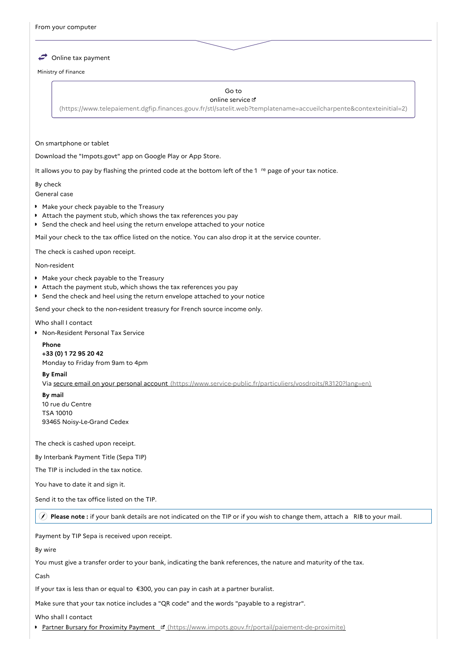$\leftrightarrow$  Online tax payment

Ministry of Finance

#### Go to online service

[\(https://www.telepaiement.dgfip.finances.gouv.fr/stl/satelit.web?templatename=accueilcharpente&contexteinitial=2\)](https://www.telepaiement.dgfip.finances.gouv.fr/stl/satelit.web?templatename=accueilcharpente&contexteinitial=2)

### On smartphone or tablet

Download the "Impots.govt" app on Google Play or App Store.

It allows you to pay by flashing the printed code at the bottom left of the 1 <sup>re</sup> page of your tax notice.

### By check

General case

- Make your check payable to the Treasury
- Attach the payment stub, which shows the tax references you pay
- Send the check and heel using the return envelope attached to your notice

Mail your check to the tax office listed on the notice. You can also drop it at the service counter.

The check is cashed upon receipt.

#### Non-resident

- Make your check payable to the Treasury
- Attach the payment stub, which shows the tax references you pay
- Send the check and heel using the return envelope attached to your notice

Send your check to the non-resident treasury for French source income only.

#### Who shall I contact

Non-Resident Personal Tax Service

**Phone +33 (0) 1 72 95 20 42** Monday to Friday from 9am to 4pm

#### **By Email**

Via secure email on your personal account [\(https://www.service-public.fr/particuliers/vosdroits/R3120?lang=en\)](https://www.service-public.fr/particuliers/vosdroits/R3120?lang=en)

# **By mail** 10 rue du Centre TSA 10010 93465 Noisy-Le-Grand Cedex

The check is cashed upon receipt.

By Interbank Payment Title (Sepa TIP)

The TIP is included in the tax notice.

You have to date it and sign it.

Send it to the tax office listed on the TIP.

**Please note :** if your bank details are not indicated on the TIP or if you wish to change them, attach a RIB to your mail.

Payment by TIP Sepa is received upon receipt.

By wire

You must give a transfer order to your bank, indicating the bank references, the nature and maturity of the tax.

Cash

If your tax is less than or equal to €300, you can pay in cash at a partner buralist.

Make sure that your tax notice includes a "QR code" and the words "payable to a registrar".

Who shall I contact

Partner Bursary for Proximity Payment F [\(https://www.impots.gouv.fr/portail/paiement-de-proximite\)](https://www.impots.gouv.fr/portail/paiement-de-proximite)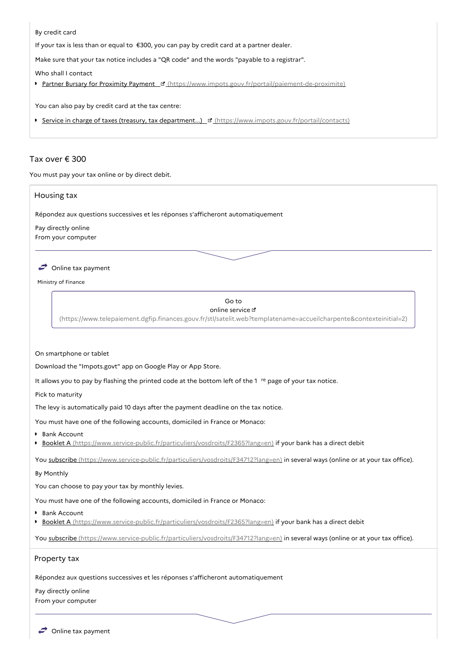# By credit card

If your tax is less than or equal to €300, you can pay by credit card at a partner dealer.

Make sure that your tax notice includes a "QR code" and the words "payable to a registrar".

Who shall I contact

Partner Bursary for Proximity Payment | c' [\(https://www.impots.gouv.fr/portail/paiement-de-proximite\)](https://www.impots.gouv.fr/portail/paiement-de-proximite)

You can also pay by credit card at the tax centre:

Service in charge of taxes (treasury, tax department...) [3] [\(https://www.impots.gouv.fr/portail/contacts\)](https://www.impots.gouv.fr/portail/contacts)

# Tax over € 300

You must pay your tax online or by direct debit.

# Housing tax

Répondez aux questions successives et les réponses s'afficheront automatiquement

Pay directly online From your computer

# $\rightarrow$  Online tax payment

Ministry of Finance

# Go to

### online service  $\sigma$

[\(https://www.telepaiement.dgfip.finances.gouv.fr/stl/satelit.web?templatename=accueilcharpente&contexteinitial=2\)](https://www.telepaiement.dgfip.finances.gouv.fr/stl/satelit.web?templatename=accueilcharpente&contexteinitial=2)

#### On smartphone or tablet

Download the "Impots.govt" app on Google Play or App Store.

It allows you to pay by flashing the printed code at the bottom left of the 1 <sup>re</sup> page of your tax notice.

Pick to maturity

The levy is automatically paid 10 days after the payment deadline on the tax notice.

You must have one of the following accounts, domiciled in France or Monaco:

- **Bank Account**
- **Booklet A** [\(https://www.service-public.fr/particuliers/vosdroits/F2365?lang=en\)](https://www.service-public.fr/particuliers/vosdroits/F2365?lang=en) if your bank has a direct debit

You subscribe [\(https://www.service-public.fr/particuliers/vosdroits/F34712?lang=en\)](https://www.service-public.fr/particuliers/vosdroits/F34712?lang=en) in several ways (online or at your tax office).

# By Monthly

You can choose to pay your tax by monthly levies.

You must have one of the following accounts, domiciled in France or Monaco:

- ▶ Bank Account
- Booklet A [\(https://www.service-public.fr/particuliers/vosdroits/F2365?lang=en\)](https://www.service-public.fr/particuliers/vosdroits/F2365?lang=en) if your bank has a direct debit

You subscribe [\(https://www.service-public.fr/particuliers/vosdroits/F34712?lang=en\)](https://www.service-public.fr/particuliers/vosdroits/F34712?lang=en) in several ways (online or at your tax office).

# Property tax

Répondez aux questions successives et les réponses s'afficheront automatiquement

Pay directly online From your computer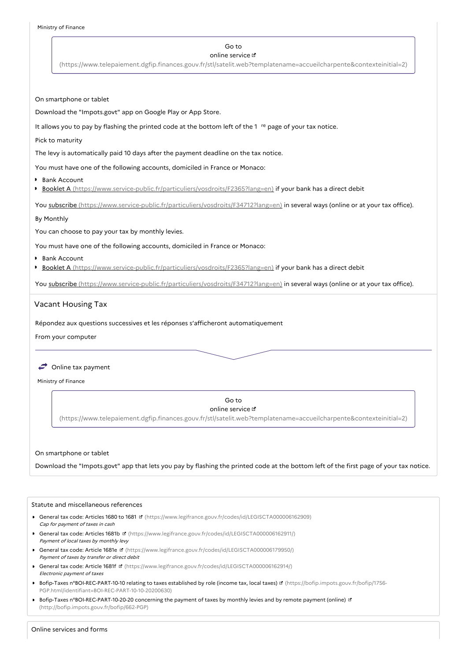### Go to

#### online service

[\(https://www.telepaiement.dgfip.finances.gouv.fr/stl/satelit.web?templatename=accueilcharpente&contexteinitial=2\)](https://www.telepaiement.dgfip.finances.gouv.fr/stl/satelit.web?templatename=accueilcharpente&contexteinitial=2)

On smartphone or tablet

Download the "Impots.govt" app on Google Play or App Store.

It allows you to pay by flashing the printed code at the bottom left of the  $1$ <sup>re</sup> page of your tax notice.

Pick to maturity

The levy is automatically paid 10 days after the payment deadline on the tax notice.

You must have one of the following accounts, domiciled in France or Monaco:

**Bank Account** 

**Booklet A** [\(https://www.service-public.fr/particuliers/vosdroits/F2365?lang=en\)](https://www.service-public.fr/particuliers/vosdroits/F2365?lang=en) if your bank has a direct debit

You subscribe [\(https://www.service-public.fr/particuliers/vosdroits/F34712?lang=en\)](https://www.service-public.fr/particuliers/vosdroits/F34712?lang=en) in several ways (online or at your tax office).

# By Monthly

You can choose to pay your tax by monthly levies.

You must have one of the following accounts, domiciled in France or Monaco:

**Bank Account** 

**Booklet A** [\(https://www.service-public.fr/particuliers/vosdroits/F2365?lang=en\)](https://www.service-public.fr/particuliers/vosdroits/F2365?lang=en) if your bank has a direct debit

You subscribe [\(https://www.service-public.fr/particuliers/vosdroits/F34712?lang=en\)](https://www.service-public.fr/particuliers/vosdroits/F34712?lang=en) in several ways (online or at your tax office).

# Vacant Housing Tax

Répondez aux questions successives et les réponses s'afficheront automatiquement

From your computer

# $\rightarrow$  Online tax payment

Ministry of Finance

Go to

online service

[\(https://www.telepaiement.dgfip.finances.gouv.fr/stl/satelit.web?templatename=accueilcharpente&contexteinitial=2\)](https://www.telepaiement.dgfip.finances.gouv.fr/stl/satelit.web?templatename=accueilcharpente&contexteinitial=2)

#### On smartphone or tablet

Download the "Impots.govt" app that lets you pay by flashing the printed code at the bottom left of the first page of your tax notice.

#### Statute and miscellaneous references

- General tax code: Articles 1680 to 1681 **¤** [\(https://www.legifrance.gouv.fr/codes/id/LEGISCTA000006162909\)](https://www.legifrance.gouv.fr/codes/id/LEGISCTA000006162909) Cap for payment of taxes in cash
- General tax code: Articles 1681b **¤** [\(https://www.legifrance.gouv.fr/codes/id/LEGISCTA000006162911/\)](https://www.legifrance.gouv.fr/codes/id/LEGISCTA000006162911/) Payment of local taxes by monthly levy
- General tax code: Article 1681e [\(https://www.legifrance.gouv.fr/codes/id/LEGISCTA000006179950/\)](https://www.legifrance.gouv.fr/codes/id/LEGISCTA000006179950/) Payment of taxes by transfer or direct debit
- General tax code: Article 1681f [\(https://www.legifrance.gouv.fr/codes/id/LEGISCTA000006162914/\)](https://www.legifrance.gouv.fr/codes/id/LEGISCTA000006162914/) Electronic payment of taxes
- Bofip-Taxes n°BOI-REC-PART-10-10 relating to taxes established by role (income tax, local taxes) & (https://bofip.impots.gouv.fr/bofip/1756-[PGP.html/identifiant=BOI-REC-PART-10-10-20200630\)](https://bofip.impots.gouv.fr/bofip/1756-PGP.html/identifiant=BOI-REC-PART-10-10-20200630)
- Bofip-Taxes n°BOI-REC-PART-10-20-20 concerning the payment of taxes by monthly levies and by remote payment (online) & [\(http://bofip.impots.gouv.fr/bofip/662-PGP\)](http://bofip.impots.gouv.fr/bofip/662-PGP)